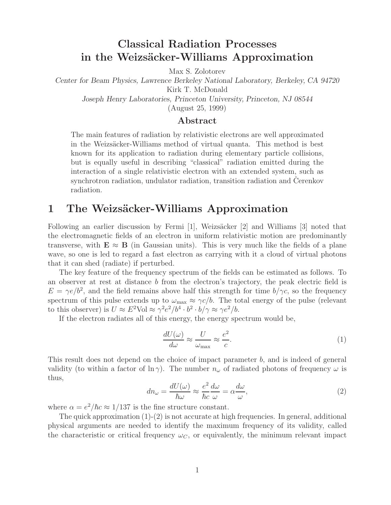# **Classical Radiation Processes in the Weizs¨acker-Williams Approximation**

Max S. Zolotorev

*Center for Beam Physics, Lawrence Berkeley National Laboratory, Berkeley, CA 94720* Kirk T. McDonald *Joseph Henry Laboratories, Princeton University, Princeton, NJ 08544*

(August 25, 1999)

### **Abstract**

The main features of radiation by relativistic electrons are well approximated in the Weizsäcker-Williams method of virtual quanta. This method is best known for its application to radiation during elementary particle collisions, but is equally useful in describing "classical" radiation emitted during the interaction of a single relativistic electron with an extended system, such as synchrotron radiation, undulator radiation, transition radiation and Cerenkov radiation.

## **1** The Weizsäcker-Williams Approximation

Following an earlier discussion by Fermi [1], Weizsäcker [2] and Williams [3] noted that the electromagnetic fields of an electron in uniform relativistic motion are predominantly transverse, with  $\mathbf{E} \approx \mathbf{B}$  (in Gaussian units). This is very much like the fields of a plane wave, so one is led to regard a fast electron as carrying with it a cloud of virtual photons that it can shed (radiate) if perturbed.

The key feature of the frequency spectrum of the fields can be estimated as follows. To an observer at rest at distance  $b$  from the electron's trajectory, the peak electric field is  $E = \gamma e/b^2$ , and the field remains above half this strength for time  $b/\gamma c$ , so the frequency spectrum of this pulse extends up to  $\omega_{\text{max}} \approx \gamma c/b$ . The total energy of the pulse (relevant to this observer) is  $U \approx E^2 \text{Vol} \approx \gamma^2 e^2/b^4 \cdot b^2 \cdot b/\gamma \approx \gamma e^2/b$ .

If the electron radiates all of this energy, the energy spectrum would be,

$$
\frac{dU(\omega)}{d\omega} \approx \frac{U}{\omega_{\text{max}}} \approx \frac{e^2}{c}.\tag{1}
$$

This result does not depend on the choice of impact parameter b, and is indeed of general validity (to within a factor of  $\ln \gamma$ ). The number  $n_{\omega}$  of radiated photons of frequency  $\omega$  is thus,

$$
dn_{\omega} = \frac{dU(\omega)}{\hbar \omega} \approx \frac{e^2}{\hbar c} \frac{d\omega}{\omega} = \alpha \frac{d\omega}{\omega},\tag{2}
$$

where  $\alpha = e^2/\hbar c \approx 1/137$  is the fine structure constant.

The quick approximation  $(1)-(2)$  is not accurate at high frequencies. In general, additional physical arguments are needed to identify the maximum frequency of its validity, called the characteristic or critical frequency  $\omega_C$ , or equivalently, the minimum relevant impact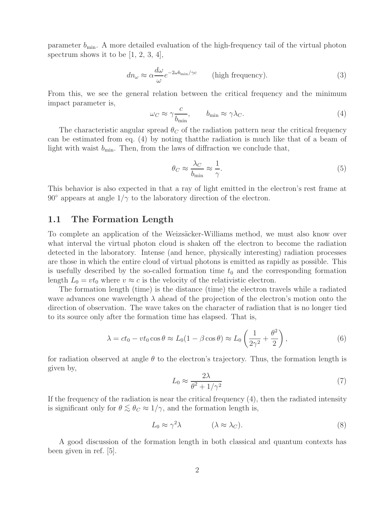parameter  $b_{\min}$ . A more detailed evaluation of the high-frequency tail of the virtual photon spectrum shows it to be  $[1, 2, 3, 4]$ ,

$$
dn_{\omega} \approx \alpha \frac{d\omega}{\omega} e^{-2\omega b_{\text{min}}/\gamma c}
$$
 (high frequency). (3)

From this, we see the general relation between the critical frequency and the minimum impact parameter is, c

$$
\omega_C \approx \gamma \frac{c}{b_{\min}}, \qquad b_{\min} \approx \gamma \lambda_C. \tag{4}
$$

The characteristic angular spread  $\theta_C$  of the radiation pattern near the critical frequency can be estimated from eq. (4) by noting thatthe radiation is much like that of a beam of light with waist  $b_{\min}$ . Then, from the laws of diffraction we conclude that,

$$
\theta_C \approx \frac{\lambda_C}{b_{\min}} \approx \frac{1}{\gamma}.\tag{5}
$$

This behavior is also expected in that a ray of light emitted in the electron's rest frame at 90 $\degree$  appears at angle  $1/\gamma$  to the laboratory direction of the electron.

#### **1.1 The Formation Length**

To complete an application of the Weizsäcker-Williams method, we must also know over what interval the virtual photon cloud is shaken off the electron to become the radiation detected in the laboratory. Intense (and hence, physically interesting) radiation processes are those in which the entire cloud of virtual photons is emitted as rapidly as possible. This is usefully described by the so-called formation time  $t_0$  and the corresponding formation length  $L_0 = vt_0$  where  $v \approx c$  is the velocity of the relativistic electron.

The formation length (time) is the distance (time) the electron travels while a radiated wave advances one wavelength  $\lambda$  ahead of the projection of the electron's motion onto the direction of observation. The wave takes on the character of radiation that is no longer tied to its source only after the formation time has elapsed. That is,

$$
\lambda = ct_0 - vt_0 \cos \theta \approx L_0 (1 - \beta \cos \theta) \approx L_0 \left(\frac{1}{2\gamma^2} + \frac{\theta^2}{2}\right),\tag{6}
$$

for radiation observed at angle  $\theta$  to the electron's trajectory. Thus, the formation length is given by,

$$
L_0 \approx \frac{2\lambda}{\theta^2 + 1/\gamma^2} \tag{7}
$$

If the frequency of the radiation is near the critical frequency (4), then the radiated intensity is significant only for  $\theta \lesssim \theta_C \approx 1/\gamma$ , and the formation length is,

$$
L_0 \approx \gamma^2 \lambda \qquad (\lambda \approx \lambda_C). \tag{8}
$$

A good discussion of the formation length in both classical and quantum contexts has been given in ref. [5].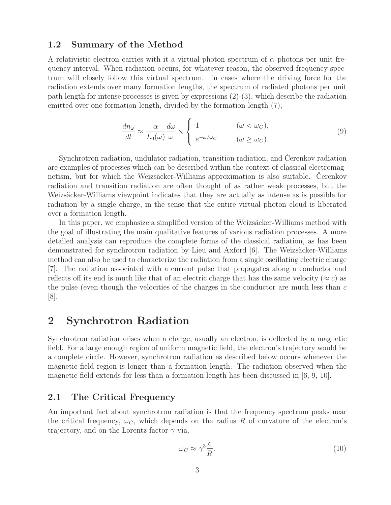### **1.2 Summary of the Method**

A relativistic electron carries with it a virtual photon spectrum of  $\alpha$  photons per unit frequency interval. When radiation occurs, for whatever reason, the observed frequency spectrum will closely follow this virtual spectrum. In cases where the driving force for the radiation extends over many formation lengths, the spectrum of radiated photons per unit path length for intense processes is given by expressions  $(2)-(3)$ , which describe the radiation emitted over one formation length, divided by the formation length (7),

$$
\frac{dn_{\omega}}{dl} \approx \frac{\alpha}{L_0(\omega)} \frac{d\omega}{\omega} \times \begin{cases} 1 & (\omega < \omega_C), \\ e^{-\omega/\omega_C} & (\omega \ge \omega_C). \end{cases}
$$
(9)

Synchrotron radiation, undulator radiation, transition radiation, and Cerenkov radiation are examples of processes which can be described within the context of classical electromagnetism, but for which the Weizsäcker-Williams approximation is also suitable. Cerenkov radiation and transition radiation are often thought of as rather weak processes, but the Weizsäcker-Williams viewpoint indicates that they are actually as intense as is possible for radiation by a single charge, in the sense that the entire virtual photon cloud is liberated over a formation length.

In this paper, we emphasize a simplified version of the Weizsäcker-Williams method with the goal of illustrating the main qualitative features of various radiation processes. A more detailed analysis can reproduce the complete forms of the classical radiation, as has been demonstrated for synchrotron radiation by Lieu and Axford  $[6]$ . The Weizsäcker-Williams method can also be used to characterize the radiation from a single oscillating electric charge [7]. The radiation associated with a current pulse that propagates along a conductor and reflects off its end is much like that of an electric charge that has the same velocity ( $\approx c$ ) as the pulse (even though the velocities of the charges in the conductor are much less than  $c$ [8].

## **2 Synchrotron Radiation**

Synchrotron radiation arises when a charge, usually an electron, is deflected by a magnetic field. For a large enough region of uniform magnetic field, the electron's trajectory would be a complete circle. However, synchrotron radiation as described below occurs whenever the magnetic field region is longer than a formation length. The radiation observed when the magnetic field extends for less than a formation length has been discussed in [6, 9, 10].

## **2.1 The Critical Frequency**

An important fact about synchrotron radiation is that the frequency spectrum peaks near the critical frequency,  $\omega_C$ , which depends on the radius R of curvature of the electron's trajectory, and on the Lorentz factor  $\gamma$  via,

$$
\omega_C \approx \gamma^3 \frac{c}{R}.\tag{10}
$$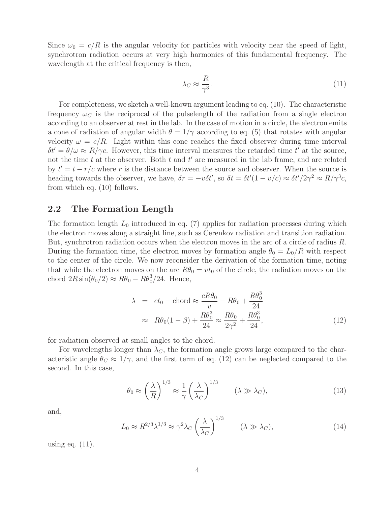Since  $\omega_0 = c/R$  is the angular velocity for particles with velocity near the speed of light, synchrotron radiation occurs at very high harmonics of this fundamental frequency. The wavelength at the critical frequency is then,

$$
\lambda_C \approx \frac{R}{\gamma^3}.\tag{11}
$$

For completeness, we sketch a well-known argument leading to eq. (10). The characteristic frequency  $\omega_C$  is the reciprocal of the pulselength of the radiation from a single electron according to an observer at rest in the lab. In the case of motion in a circle, the electron emits a cone of radiation of angular width  $\theta = 1/\gamma$  according to eq. (5) that rotates with angular velocity  $\omega = c/R$ . Light within this cone reaches the fixed observer during time interval  $\delta t' = \theta/\omega \approx R/\gamma c$ . However, this time interval measures the retarded time t' at the source, not the time t at the observer. Both t and  $t'$  are measured in the lab frame, and are related by  $t' = t - r/c$  where r is the distance between the source and observer. When the source is heading towards the observer, we have,  $\delta r = -v \delta t'$ , so  $\delta t = \delta t' (1 - v/c) \approx \delta t' / 2\gamma^2 \approx R / \gamma^3 c$ , from which eq. (10) follows.

## **2.2 The Formation Length**

The formation length  $L_0$  introduced in eq. (7) applies for radiation processes during which the electron moves along a straight line, such as Cerenkov radiation and transition radiation. But, synchrotron radiation occurs when the electron moves in the arc of a circle of radius R. During the formation time, the electron moves by formation angle  $\theta_0 = L_0/R$  with respect to the center of the circle. We now reconsider the derivation of the formation time, noting that while the electron moves on the arc  $R\theta_0 = vt_0$  of the circle, the radiation moves on the chord  $2R\sin(\theta_0/2) \approx R\theta_0 - R\theta_0^3/24$ . Hence,

$$
\lambda = ct_0 - \text{chord} \approx \frac{cR\theta_0}{v} - R\theta_0 + \frac{R\theta_0^3}{24}
$$
  

$$
\approx R\theta_0(1-\beta) + \frac{R\theta_0^3}{24} \approx \frac{R\theta_0}{2\gamma^2} + \frac{R\theta_0^3}{24},
$$
 (12)

for radiation observed at small angles to the chord.

For wavelengths longer than  $\lambda_C$ , the formation angle grows large compared to the characteristic angle  $\theta_C \approx 1/\gamma$ , and the first term of eq. (12) can be neglected compared to the second. In this case,

$$
\theta_0 \approx \left(\frac{\lambda}{R}\right)^{1/3} \approx \frac{1}{\gamma} \left(\frac{\lambda}{\lambda_C}\right)^{1/3} \qquad (\lambda \gg \lambda_C), \tag{13}
$$

and,

$$
L_0 \approx R^{2/3} \lambda^{1/3} \approx \gamma^2 \lambda_C \left(\frac{\lambda}{\lambda_C}\right)^{1/3} \qquad (\lambda \gg \lambda_C), \tag{14}
$$

using eq.  $(11)$ .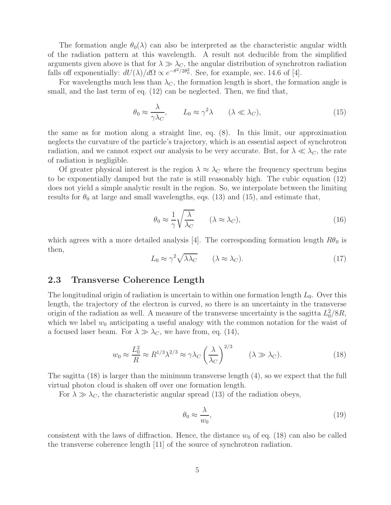The formation angle  $\theta_0(\lambda)$  can also be interpreted as the characteristic angular width of the radiation pattern at this wavelength. A result not deducible from the simplified arguments given above is that for  $\lambda \gg \lambda_C$ , the angular distribution of synchrotron radiation falls off exponentially:  $dU(\lambda)/d\Omega \propto e^{-\theta^2/2\theta_0^2}$ . See, for example, sec. 14.6 of [4].

For wavelengths much less than  $\lambda_C$ , the formation length is short, the formation angle is small, and the last term of eq. (12) can be neglected. Then, we find that,

$$
\theta_0 \approx \frac{\lambda}{\gamma \lambda_C}, \qquad L_0 \approx \gamma^2 \lambda \qquad (\lambda \ll \lambda_C), \tag{15}
$$

the same as for motion along a straight line, eq. (8). In this limit, our approximation neglects the curvature of the particle's trajectory, which is an essential aspect of synchrotron radiation, and we cannot expect our analysis to be very accurate. But, for  $\lambda \ll \lambda_C$ , the rate of radiation is negligible.

Of greater physical interest is the region  $\lambda \approx \lambda_C$  where the frequency spectrum begins to be exponentially damped but the rate is still reasonably high. The cubic equation (12) does not yield a simple analytic result in the region. So, we interpolate between the limiting results for  $\theta_0$  at large and small wavelengths, eqs. (13) and (15), and estimate that,

$$
\theta_0 \approx \frac{1}{\gamma} \sqrt{\frac{\lambda}{\lambda_C}} \qquad (\lambda \approx \lambda_C), \tag{16}
$$

which agrees with a more detailed analysis [4]. The corresponding formation length  $R\theta_0$  is then,

$$
L_0 \approx \gamma^2 \sqrt{\lambda \lambda_C} \qquad (\lambda \approx \lambda_C). \tag{17}
$$

### **2.3 Transverse Coherence Length**

The longitudinal origin of radiation is uncertain to within one formation length  $L_0$ . Over this length, the trajectory of the electron is curved, so there is an uncertainty in the transverse origin of the radiation as well. A measure of the transverse uncertainty is the sagitta  $L_0^2/8R$ , which we label  $w_0$  anticipating a useful analogy with the common notation for the waist of a focused laser beam. For  $\lambda \gg \lambda_C$ , we have from, eq. (14),

$$
w_0 \approx \frac{L_0^2}{R} \approx R^{1/3} \lambda^{2/3} \approx \gamma \lambda_C \left(\frac{\lambda}{\lambda_C}\right)^{2/3} \qquad (\lambda \gg \lambda_C). \tag{18}
$$

The sagitta (18) is larger than the minimum transverse length (4), so we expect that the full virtual photon cloud is shaken off over one formation length.

For  $\lambda \gg \lambda_C$ , the characteristic angular spread (13) of the radiation obeys,

$$
\theta_0 \approx \frac{\lambda}{w_0},\tag{19}
$$

consistent with the laws of diffraction. Hence, the distance  $w_0$  of eq. (18) can also be called the transverse coherence length [11] of the source of synchrotron radiation.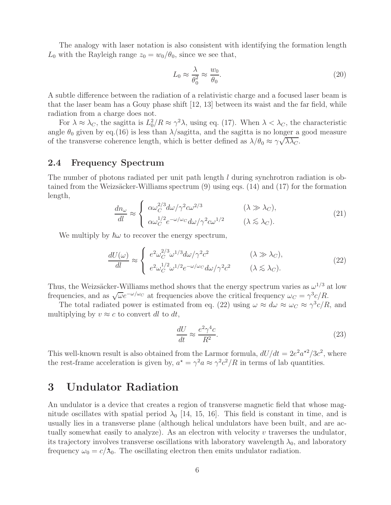The analogy with laser notation is also consistent with identifying the formation length  $L_0$  with the Rayleigh range  $z_0 = w_0/\theta_0$ , since we see that,

$$
L_0 \approx \frac{\lambda}{\theta_0^2} \approx \frac{w_0}{\theta_0}.\tag{20}
$$

A subtle difference between the radiation of a relativistic charge and a focused laser beam is that the laser beam has a Gouy phase shift [12, 13] between its waist and the far field, while radiation from a charge does not.

For  $\lambda \approx \lambda_C$ , the sagitta is  $L_0^2/R \approx \gamma^2 \lambda$ , using eq. (17). When  $\lambda < \lambda_C$ , the characteristic angle  $\theta_0$  given by eq.(16) is less than  $\lambda$ /sagitta, and the sagitta is no longer a good measure of the transverse coherence length, which is better defined as  $\lambda/\theta_0 \approx \gamma \sqrt{\lambda \lambda_C}$ .

#### **2.4 Frequency Spectrum**

The number of photons radiated per unit path length l during synchrotron radiation is obtained from the Weizsäcker-Williams spectrum  $(9)$  using eqs.  $(14)$  and  $(17)$  for the formation length,

$$
\frac{dn_{\omega}}{dl} \approx \begin{cases}\n\alpha \omega_C^{2/3} d\omega / \gamma^2 c \omega^{2/3} & (\lambda \gg \lambda_C), \\
\alpha \omega_C^{1/2} e^{-\omega/\omega_C} d\omega / \gamma^2 c \omega^{1/2} & (\lambda \lesssim \lambda_C).\n\end{cases}
$$
\n(21)

We multiply by  $\hbar\omega$  to recover the energy spectrum,

$$
\frac{dU(\omega)}{dl} \approx \begin{cases} e^2 \omega_C^{2/3} \omega^{1/3} d\omega / \gamma^2 c^2 & (\lambda \gg \lambda_C), \\ e^2 \omega_C^{1/2} \omega^{1/2} e^{-\omega/\omega_C} d\omega / \gamma^2 c^2 & (\lambda \lesssim \lambda_C). \end{cases}
$$
(22)

Thus, the Weizsäcker-Williams method shows that the energy spectrum varies as  $\omega^{1/3}$  at low frequencies, and as  $\sqrt{\omega}e^{-\omega/\omega_C}$  at frequencies above the critical frequency  $\omega_C = \gamma^3 c/R$ .

The total radiated power is estimated from eq. (22) using  $\omega \approx d\omega \approx \omega_C \approx \gamma^3 c/R$ , and multiplying by  $v \approx c$  to convert dl to dt,

$$
\frac{dU}{dt} \approx \frac{e^2 \gamma^4 c}{R^2}.\tag{23}
$$

This well-known result is also obtained from the Larmor formula,  $dU/dt = 2e^2 a^{2}/3c^2$ , where the rest-frame acceleration is given by,  $a^* = \gamma^2 a \approx \gamma^2 c^2/R$  in terms of lab quantities.

## **3 Undulator Radiation**

An undulator is a device that creates a region of transverse magnetic field that whose magnitude oscillates with spatial period  $\lambda_0$  [14, 15, 16]. This field is constant in time, and is usually lies in a transverse plane (although helical undulators have been built, and are actually somewhat easily to analyze). As an electron with velocity  $v$  traverses the undulator, its trajectory involves transverse oscillations with laboratory wavelength  $\lambda_0$ , and laboratory frequency  $\omega_0 = c/\lambda_0$ . The oscillating electron then emits undulator radiation.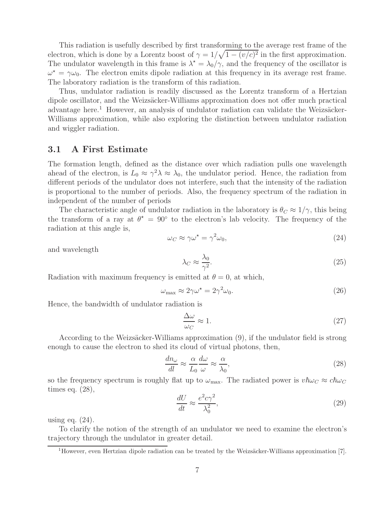This radiation is usefully described by first transforming to the average rest frame of the electron, which is done by a Lorentz boost of  $\gamma = 1/\sqrt{1-(v/c)^2}$  in the first approximation. The undulator wavelength in this frame is  $\lambda^* = \lambda_0/\gamma$ , and the frequency of the oscillator is  $\omega^* = \gamma \omega_0$ . The electron emits dipole radiation at this frequency in its average rest frame. The laboratory radiation is the transform of this radiation.

Thus, undulator radiation is readily discussed as the Lorentz transform of a Hertzian dipole oscillator, and the Weizsäcker-Williams approximation does not offer much practical advantage here.<sup>1</sup> However, an analysis of undulator radiation can validate the Weizsäcker-Williams approximation, while also exploring the distinction between undulator radiation and wiggler radiation.

## **3.1 A First Estimate**

The formation length, defined as the distance over which radiation pulls one wavelength ahead of the electron, is  $L_0 \approx \gamma^2 \lambda \approx \lambda_0$ , the undulator period. Hence, the radiation from different periods of the undulator does not interfere, such that the intensity of the radiation is proportional to the number of periods. Also, the frequency spectrum of the radiation in independent of the number of periods

The characteristic angle of undulator radiation in the laboratory is  $\theta_C \approx 1/\gamma$ , this being the transform of a ray at  $\theta^* = 90^\circ$  to the electron's lab velocity. The frequency of the radiation at this angle is,

$$
\omega_C \approx \gamma \omega^* = \gamma^2 \omega_0,\tag{24}
$$

and wavelength

$$
\lambda_C \approx \frac{\lambda_0}{\gamma^2}.\tag{25}
$$

Radiation with maximum frequency is emitted at  $\theta = 0$ , at which,

$$
\omega_{\text{max}} \approx 2\gamma \omega^* = 2\gamma^2 \omega_0. \tag{26}
$$

Hence, the bandwidth of undulator radiation is

$$
\frac{\Delta\omega}{\omega_C} \approx 1. \tag{27}
$$

According to the Weizsäcker-Williams approximation (9), if the undulator field is strong enough to cause the electron to shed its cloud of virtual photons, then,

$$
\frac{dn_{\omega}}{dl} \approx \frac{\alpha}{L_0} \frac{d\omega}{\omega} \approx \frac{\alpha}{\lambda_0},\tag{28}
$$

so the frequency spectrum is roughly flat up to  $\omega_{\text{max}}$ . The radiated power is  $v\hbar\omega_C \approx c\hbar\omega_C$ times eq. (28),

$$
\frac{dU}{dt} \approx \frac{e^2 c \gamma^2}{\lambda_0^2},\tag{29}
$$

using eq.  $(24)$ .

To clarify the notion of the strength of an undulator we need to examine the electron's trajectory through the undulator in greater detail.

 $1$ However, even Hertzian dipole radiation can be treated by the Weizsäcker-Williams approximation [7].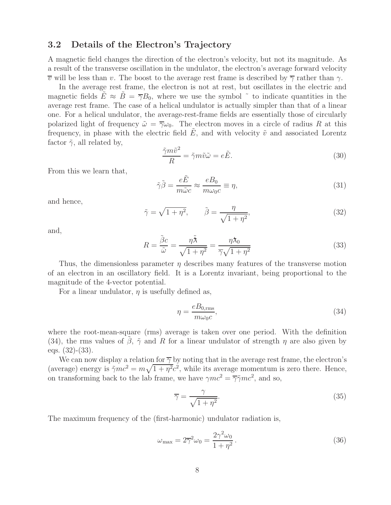## **3.2 Details of the Electron's Trajectory**

A magnetic field changes the direction of the electron's velocity, but not its magnitude. As a result of the transverse oscillation in the undulator, the electron's average forward velocity  $\overline{v}$  will be less than v. The boost to the average rest frame is described by  $\overline{\gamma}$  rather than  $\gamma$ .

In the average rest frame, the electron is not at rest, but oscillates in the electric and magnetic fields  $E \approx B = \overline{\gamma}B_0$ , where we use the symbol  $\tilde{\gamma}$  to indicate quantities in the average rest frame. The case of a helical undulator is actually simpler than that of a linear one. For a helical undulator, the average-rest-frame fields are essentially those of circularly polarized light of frequency  $\tilde{\omega} = \overline{\gamma}\omega_0$ . The electron moves in a circle of radius R at this frequency, in phase with the electric field  $\hat{E}$ , and with velocity  $\tilde{v}$  and associated Lorentz factor  $\tilde{\gamma}$ , all related by,

$$
\frac{\tilde{\gamma}m\tilde{v}^2}{R} = \tilde{\gamma}m\tilde{v}\tilde{\omega} = e\tilde{E}.
$$
\n(30)

From this we learn that,

$$
\tilde{\gamma}\tilde{\beta} = \frac{e\tilde{E}}{m\tilde{\omega}c} \approx \frac{eB_0}{m\omega_0 c} \equiv \eta,
$$
\n(31)

and hence,

$$
\tilde{\gamma} = \sqrt{1 + \eta^2}, \qquad \tilde{\beta} = \frac{\eta}{\sqrt{1 + \eta^2}}, \tag{32}
$$

and,

$$
R = \frac{\tilde{\beta}c}{\tilde{\omega}} = \frac{\eta \tilde{\lambda}}{\sqrt{1 + \eta^2}} = \frac{\eta \lambda_0}{\overline{\gamma} \sqrt{1 + \eta^2}}
$$
(33)

Thus, the dimensionless parameter  $\eta$  describes many features of the transverse motion of an electron in an oscillatory field. It is a Lorentz invariant, being proportional to the magnitude of the 4-vector potential.

For a linear undulator,  $\eta$  is usefully defined as,

$$
\eta = \frac{eB_{0,\text{rms}}}{m\omega_0 c},\tag{34}
$$

where the root-mean-square (rms) average is taken over one period. With the definition (34), the rms values of  $\beta$ ,  $\tilde{\gamma}$  and R for a linear undulator of strength  $\eta$  are also given by eqs. (32)-(33).

We can now display a relation for  $\overline{\gamma}$  by noting that in the average rest frame, the electron's (average) energy is  $\tilde{\gamma}mc^2 = m\sqrt{1+\eta^2}c^2$ , while its average momentum is zero there. Hence, on transforming back to the lab frame, we have  $\gamma mc^2 = \overline{\gamma} \tilde{\gamma} mc^2$ , and so,

$$
\overline{\gamma} = \frac{\gamma}{\sqrt{1 + \eta^2}}.\tag{35}
$$

The maximum frequency of the (first-harmonic) undulator radiation is,

$$
\omega_{\text{max}} = 2\overline{\gamma}^2 \omega_0 = \frac{2\gamma^2 \omega_0}{1 + \eta^2}.
$$
\n(36)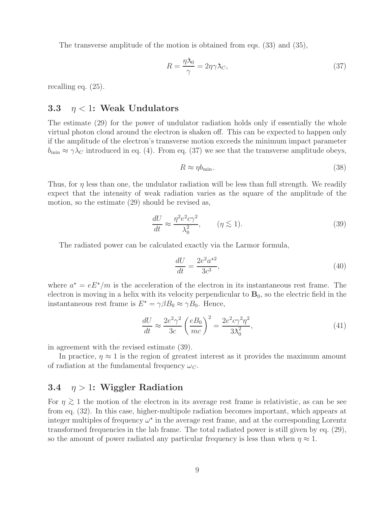The transverse amplitude of the motion is obtained from eqs. (33) and (35),

$$
R = \frac{\eta \lambda_0}{\gamma} = 2\eta \gamma \lambda_C,\tag{37}
$$

recalling eq. (25).

### **3.3** η < 1**: Weak Undulators**

The estimate (29) for the power of undulator radiation holds only if essentially the whole virtual photon cloud around the electron is shaken off. This can be expected to happen only if the amplitude of the electron's transverse motion exceeds the minimum impact parameter  $b_{\min} \approx \gamma \lambda_C$  introduced in eq. (4). From eq. (37) we see that the transverse amplitude obeys,

$$
R \approx \eta b_{\text{min}}.\tag{38}
$$

Thus, for  $\eta$  less than one, the undulator radiation will be less than full strength. We readily expect that the intensity of weak radiation varies as the square of the amplitude of the motion, so the estimate (29) should be revised as,

$$
\frac{dU}{dt} \approx \frac{\eta^2 e^2 c \gamma^2}{\lambda_0^2}, \qquad (\eta \lesssim 1). \tag{39}
$$

The radiated power can be calculated exactly via the Larmor formula,

$$
\frac{dU}{dt} = \frac{2e^2a^{\star 2}}{3c^3},\tag{40}
$$

where  $a^* = eE^*/m$  is the acceleration of the electron in its instantaneous rest frame. The electron is moving in a helix with its velocity perpendicular to  $\mathbf{B}_0$ , so the electric field in the instantaneous rest frame is  $E^* = \gamma \beta B_0 \approx \gamma B_0$ . Hence,

$$
\frac{dU}{dt} \approx \frac{2e^2\gamma^2}{3c} \left(\frac{eB_0}{mc}\right)^2 = \frac{2e^2c\gamma^2\eta^2}{3\lambda_0^2},\tag{41}
$$

in agreement with the revised estimate (39).

In practice,  $\eta \approx 1$  is the region of greatest interest as it provides the maximum amount of radiation at the fundamental frequency  $\omega_C$ .

## **3.4** η > 1**: Wiggler Radiation**

For  $\eta \gtrsim 1$  the motion of the electron in its average rest frame is relativistic, as can be see from eq. (32). In this case, higher-multipole radiation becomes important, which appears at integer multiples of frequency  $\omega^*$  in the average rest frame, and at the corresponding Lorentz transformed frequencies in the lab frame. The total radiated power is still given by eq. (29), so the amount of power radiated any particular frequency is less than when  $\eta \approx 1$ .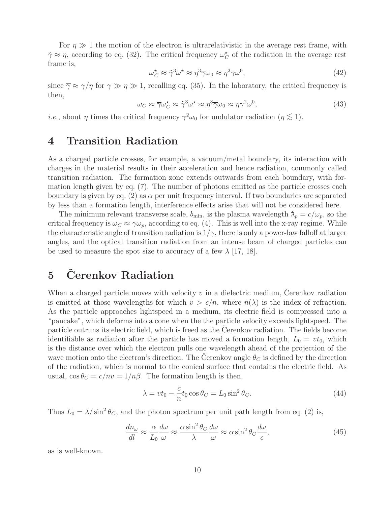For  $\eta \gg 1$  the motion of the electron is ultrarelativistic in the average rest frame, with  $\tilde{\gamma} \approx \eta$ , according to eq. (32). The critical frequency  $\omega_C^{\star}$  of the radiation in the average rest frame is,

$$
\omega_C^{\star} \approx \tilde{\gamma}^3 \omega^{\star} \approx \eta^3 \overline{\gamma} \omega_0 \approx \eta^2 \gamma \omega^0, \tag{42}
$$

since  $\overline{\gamma} \approx \gamma/\eta$  for  $\gamma \gg \eta \gg 1$ , recalling eq. (35). In the laboratory, the critical frequency is then,

$$
\omega_C \approx \overline{\gamma} \omega_C^{\star} \approx \tilde{\gamma}^3 \omega^{\star} \approx \eta^3 \overline{\gamma} \omega_0 \approx \eta \gamma^2 \omega^0,
$$
\n(43)

*i.e.*, about  $\eta$  times the critical frequency  $\gamma^2 \omega_0$  for undulator radiation  $(\eta \lesssim 1)$ .

## **4 Transition Radiation**

As a charged particle crosses, for example, a vacuum/metal boundary, its interaction with charges in the material results in their acceleration and hence radiation, commonly called transition radiation. The formation zone extends outwards from each boundary, with formation length given by eq. (7). The number of photons emitted as the particle crosses each boundary is given by eq. (2) as  $\alpha$  per unit frequency interval. If two boundaries are separated by less than a formation length, interference effects arise that will not be considered here.

The minimum relevant transverse scale,  $b_{\min}$ , is the plasma wavelength  $\lambda_p = c/\omega_p$ , so the critical frequency is  $\omega_C \approx \gamma \omega_p$ , according to eq. (4). This is well into the x-ray regime. While the characteristic angle of transition radiation is  $1/\gamma$ , there is only a power-law falloff at larger angles, and the optical transition radiation from an intense beam of charged particles can be used to measure the spot size to accuracy of a few  $\lambda$  [17, 18].

# **5 Cerenkov Radiation ˇ**

When a charged particle moves with velocity  $v$  in a dielectric medium, Cerenkov radiation is emitted at those wavelengths for which  $v > c/n$ , where  $n(\lambda)$  is the index of refraction. As the particle approaches lightspeed in a medium, its electric field is compressed into a "pancake", which deforms into a cone when the the particle velocity exceeds lightspeed. The particle outruns its electric field, which is freed as the Cerenkov radiation. The fields become identifiable as radiation after the particle has moved a formation length,  $L_0 = vt_0$ , which is the distance over which the electron pulls one wavelength ahead of the projection of the wave motion onto the electron's direction. The Cerenkov angle  $\theta_C$  is defined by the direction of the radiation, which is normal to the conical surface that contains the electric field. As usual,  $\cos \theta_C = c/nv = 1/n\beta$ . The formation length is then,

$$
\lambda = vt_0 - \frac{c}{n} t_0 \cos \theta_C = L_0 \sin^2 \theta_C.
$$
\n(44)

Thus  $L_0 = \lambda / \sin^2 \theta_C$ , and the photon spectrum per unit path length from eq. (2) is,

$$
\frac{dn_{\omega}}{dl} \approx \frac{\alpha}{L_0} \frac{d\omega}{\omega} \approx \frac{\alpha \sin^2 \theta_C}{\lambda} \frac{d\omega}{\omega} \approx \alpha \sin^2 \theta_C \frac{d\omega}{c},\tag{45}
$$

as is well-known.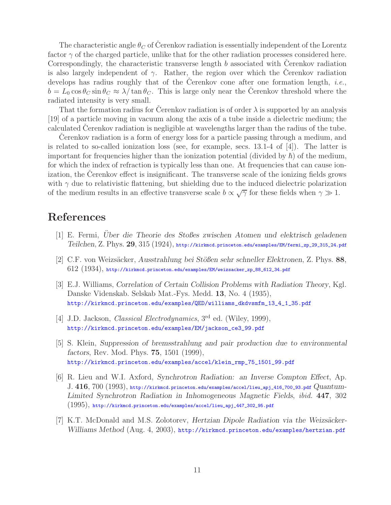The characteristic angle  $\theta_C$  of Cerenkov radiation is essentially independent of the Lorentz factor  $\gamma$  of the charged particle, unlike that for the other radiation processes considered here. Correspondingly, the characteristic transverse length  $b$  associated with Cerenkov radiation is also largely independent of  $\gamma$ . Rather, the region over which the Cerenkov radiation develops has radius roughly that of the Cerenkov cone after one formation length,  $i.e.,$  $b = L_0 \cos \theta_C \sin \theta_C \approx \lambda / \tan \theta_C$ . This is large only near the Cerenkov threshold where the radiated intensity is very small.

That the formation radius for Cerenkov radiation is of order  $\lambda$  is supported by an analysis [19] of a particle moving in vacuum along the axis of a tube inside a dielectric medium; the calculated Cerenkov radiation is negligible at wavelengths larger than the radius of the tube.

Cerenkov radiation is a form of energy loss for a particle passing through a medium, and is related to so-called ionization loss (see, for example, secs.  $13.1-4$  of  $\vert 4 \vert$ ). The latter is important for frequencies higher than the ionization potential (divided by  $\hbar$ ) of the medium, for which the index of refraction is typically less than one. At frequencies that can cause ionization, the Cerenkov effect is insignificant. The transverse scale of the ionizing fields grows with  $\gamma$  due to relativistic flattening, but shielding due to the induced dielectric polarization of the medium results in an effective transverse scale  $b \propto \sqrt{\gamma}$  for these fields when  $\gamma \gg 1$ .

## **References**

- [1] E. Fermi, *Uber die Theorie des Stoßes zwischen Atomen und elektrisch geladenen ¨ Teilchen*, Z. Phys. **29**, 315 (1924), http://kirkmcd.princeton.edu/examples/EM/fermi\_zp\_29\_315\_24.pdf
- [2] C.F. von Weizs¨acker, *Ausstrahlung bei St¨oßen sehr schneller Elektronen*, Z. Phys. **88**,  $612$   $(1934)$ , http://kirkmcd.princeton.edu/examples/EM/weizsacker\_zp\_88\_612\_34.pdf
- [3] E.J. Williams, *Correlation of Certain Collision Problems with Radiation Theory*, Kgl. Danske Videnskab. Selskab Mat.-Fys. Medd. **13**, No. 4 (1935), http://kirkmcd.princeton.edu/examples/QED/williams\_dkdvsmfm\_13\_4\_1\_35.pdf
- [4] J.D. Jackson, *Classical Electrodynamics*, 3rd ed. (Wiley, 1999), http://kirkmcd.princeton.edu/examples/EM/jackson\_ce3\_99.pdf
- [5] S. Klein, *Suppression of bremsstrahlung and pair production due to environmental factors*, Rev. Mod. Phys. **75**, 1501 (1999), http://kirkmcd.princeton.edu/examples/accel/klein\_rmp\_75\_1501\_99.pdf
- [6] R. Lieu and W.I. Axford, *Synchrotron Radiation: an Inverse Compton Effect*, Ap. J. **416**, 700 (1993), http://kirkmcd.princeton.edu/examples/accel/lieu\_apj\_416\_700\_93.pdf *Quantum-Limited Synchrotron Radiation in Inhomogeneous Magnetic Fields*, *ibid.* **447**, 302  $\left(1995\right),$  http://kirkmcd.princeton.edu/examples/accel/lieu\_apj\_447\_302\_95.pdf
- [7] K.T. McDonald and M.S. Zolotorev, *Hertzian Dipole Radiation via the Weizsäcker-Williams Method* (Aug. 4, 2003), http://kirkmcd.princeton.edu/examples/hertzian.pdf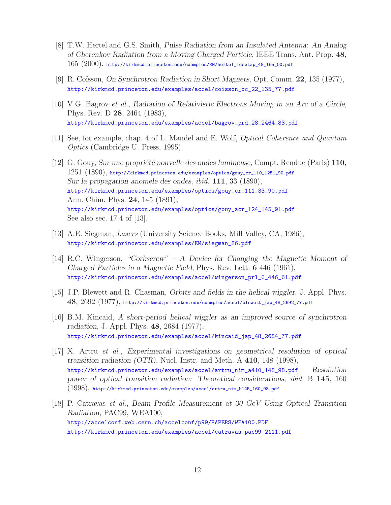- [8] T.W. Hertel and G.S. Smith, *Pulse Radiation from an Insulated Antenna: An Analog of Cherenkov Radiation from a Moving Charged Particle*, IEEE Trans. Ant. Prop. **48**,  $165 \ (2000)$ , http://kirkmcd.princeton.edu/examples/EM/hertel\_ieeetap\_48\_165\_00.pdf
- [9] R. Co¨ısson, *On Synchrotron Radiation in Short Magnets*, Opt. Comm. **22**, 135 (1977), http://kirkmcd.princeton.edu/examples/accel/coisson\_oc\_22\_135\_77.pdf
- [10] V.G. Bagrov *et al.*, *Radiation of Relativistic Electrons Moving in an Arc of a Circle*, Phys. Rev. D **28**, 2464 (1983), http://kirkmcd.princeton.edu/examples/accel/bagrov\_prd\_28\_2464\_83.pdf
- [11] See, for example, chap. 4 of L. Mandel and E. Wolf, *Optical Coherence and Quantum Optics* (Cambridge U. Press, 1995).
- [12] G. Gouy, *Sur une propri´et´e nouvelle des ondes lumineuse*, Compt. Rendue (Paris) **110**,  $1251$   $(1890)$ , http://kirkmcd.princeton.edu/examples/optics/gouy\_cr\_110\_1251\_90.pdf *Sur la propagation anomele des ondes*, *ibid.* **111**, 33 (1890), http://kirkmcd.princeton.edu/examples/optics/gouy\_cr\_111\_33\_90.pdf Ann. Chim. Phys. **24**, 145 (1891), http://kirkmcd.princeton.edu/examples/optics/gouy\_acr\_124\_145\_91.pdf See also sec. 17.4 of [13].
- [13] A.E. Siegman, *Lasers* (University Science Books, Mill Valley, CA, 1986), http://kirkmcd.princeton.edu/examples/EM/siegman\_86.pdf
- [14] R.C. Wingerson, *"Corkscrew" A Device for Changing the Magnetic Moment of Charged Particles in a Magnetic Field*, Phys. Rev. Lett. **6** 446 (1961), http://kirkmcd.princeton.edu/examples/accel/wingerson\_prl\_6\_446\_61.pdf
- [15] J.P. Blewett and R. Chasman, *Orbits and fields in the helical wiggler*, J. Appl. Phys. **48**, 2692 (1977), http://kirkmcd.princeton.edu/examples/accel/blewett\_jap\_48\_2692\_77.pdf
- [16] B.M. Kincaid, *A short-period helical wiggler as an improved source of synchrotron radiation*, J. Appl. Phys. **48**, 2684 (1977), http://kirkmcd.princeton.edu/examples/accel/kincaid\_jap\_48\_2684\_77.pdf
- [17] X. Artru *et al.*, *Experimental investigations on geometrical resolution of optical transition radiation (OTR)*, Nucl. Instr. and Meth. A **410**, 148 (1998), http://kirkmcd.princeton.edu/examples/accel/artru\_nim\_a410\_148\_98.pdf *Resolution power of optical transition radiation: Theoretical considerations*, *ibid.* B **145**, 160 (1998), http://kirkmcd.princeton.edu/examples/accel/artru\_nim\_b145\_160\_98.pdf
- [18] P. Catravas *et al.*, *Beam Profile Measurement at 30 GeV Using Optical Transition Radiation*, PAC99, WEA100, http://accelconf.web.cern.ch/accelconf/p99/PAPERS/WEA100.PDF http://kirkmcd.princeton.edu/examples/accel/catravas\_pac99\_2111.pdf